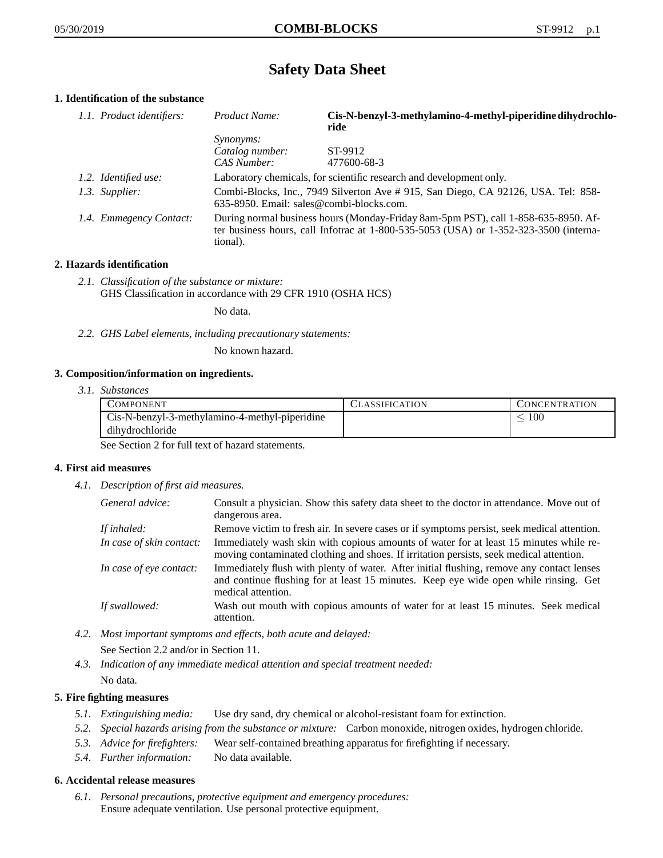# **Safety Data Sheet**

# **1. Identification of the substance**

| 1.1. Product identifiers: | Product Name:                                                                                                                                                                           | Cis-N-benzyl-3-methylamino-4-methyl-piperidine dihydrochlo-<br>ride |
|---------------------------|-----------------------------------------------------------------------------------------------------------------------------------------------------------------------------------------|---------------------------------------------------------------------|
|                           | <i>Synonyms:</i>                                                                                                                                                                        |                                                                     |
|                           | Catalog number:                                                                                                                                                                         | ST-9912                                                             |
|                           | CAS Number:                                                                                                                                                                             | 477600-68-3                                                         |
| 1.2. Identified use:      | Laboratory chemicals, for scientific research and development only.                                                                                                                     |                                                                     |
| 1.3. Supplier:            | Combi-Blocks, Inc., 7949 Silverton Ave #915, San Diego, CA 92126, USA. Tel: 858-<br>635-8950. Email: sales@combi-blocks.com.                                                            |                                                                     |
| 1.4. Emmegency Contact:   | During normal business hours (Monday-Friday 8am-5pm PST), call 1-858-635-8950. Af-<br>ter business hours, call Infotrac at 1-800-535-5053 (USA) or 1-352-323-3500 (interna-<br>tional). |                                                                     |

## **2. Hazards identification**

*2.1. Classification of the substance or mixture:* GHS Classification in accordance with 29 CFR 1910 (OSHA HCS)

No data.

*2.2. GHS Label elements, including precautionary statements:*

No known hazard.

#### **3. Composition/information on ingredients.**

*3.1. Substances*

| <b>COMPONENT</b>                               | <b>CLASSIFICATION</b> | CONCENTRATION |
|------------------------------------------------|-----------------------|---------------|
| Cis-N-benzyl-3-methylamino-4-methyl-piperidine |                       | 100           |
| dihydrochloride                                |                       |               |

See Section 2 for full text of hazard statements.

#### **4. First aid measures**

*4.1. Description of first aid measures.*

| General advice:          | Consult a physician. Show this safety data sheet to the doctor in attendance. Move out of<br>dangerous area.                                                                                            |
|--------------------------|---------------------------------------------------------------------------------------------------------------------------------------------------------------------------------------------------------|
| If inhaled:              | Remove victim to fresh air. In severe cases or if symptoms persist, seek medical attention.                                                                                                             |
| In case of skin contact: | Immediately wash skin with copious amounts of water for at least 15 minutes while re-<br>moving contaminated clothing and shoes. If irritation persists, seek medical attention.                        |
| In case of eye contact:  | Immediately flush with plenty of water. After initial flushing, remove any contact lenses<br>and continue flushing for at least 15 minutes. Keep eye wide open while rinsing. Get<br>medical attention. |
| If swallowed:            | Wash out mouth with copious amounts of water for at least 15 minutes. Seek medical<br>attention.                                                                                                        |

- *4.2. Most important symptoms and effects, both acute and delayed:* See Section 2.2 and/or in Section 11.
- *4.3. Indication of any immediate medical attention and special treatment needed:* No data.

### **5. Fire fighting measures**

- *5.1. Extinguishing media:* Use dry sand, dry chemical or alcohol-resistant foam for extinction.
- *5.2. Special hazards arising from the substance or mixture:* Carbon monoxide, nitrogen oxides, hydrogen chloride.
- *5.3. Advice for firefighters:* Wear self-contained breathing apparatus for firefighting if necessary.
- *5.4. Further information:* No data available.

#### **6. Accidental release measures**

*6.1. Personal precautions, protective equipment and emergency procedures:* Ensure adequate ventilation. Use personal protective equipment.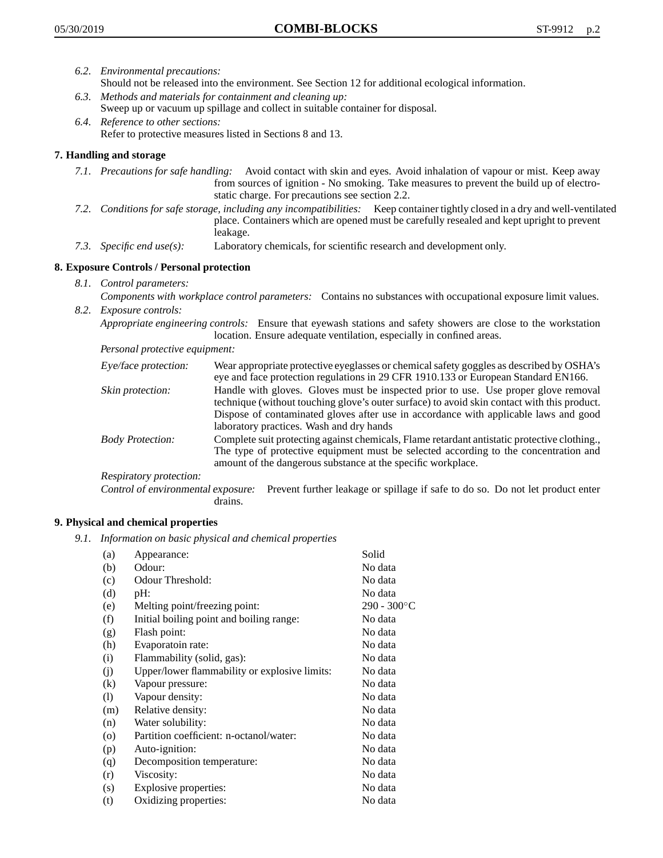- *6.2. Environmental precautions:* Should not be released into the environment. See Section 12 for additional ecological information.
- *6.3. Methods and materials for containment and cleaning up:* Sweep up or vacuum up spillage and collect in suitable container for disposal.
- *6.4. Reference to other sections:* Refer to protective measures listed in Sections 8 and 13.

# **7. Handling and storage**

- *7.1. Precautions for safe handling:* Avoid contact with skin and eyes. Avoid inhalation of vapour or mist. Keep away from sources of ignition - No smoking. Take measures to prevent the build up of electrostatic charge. For precautions see section 2.2.
- *7.2. Conditions for safe storage, including any incompatibilities:* Keep container tightly closed in a dry and well-ventilated place. Containers which are opened must be carefully resealed and kept upright to prevent leakage.
- *7.3. Specific end use(s):* Laboratory chemicals, for scientific research and development only.

## **8. Exposure Controls / Personal protection**

- *8.1. Control parameters:*
- *Components with workplace control parameters:* Contains no substances with occupational exposure limit values. *8.2. Exposure controls:*

*Appropriate engineering controls:* Ensure that eyewash stations and safety showers are close to the workstation location. Ensure adequate ventilation, especially in confined areas.

*Personal protective equipment:*

| Eye/face protection:    | Wear appropriate protective eyeglasses or chemical safety goggles as described by OSHA's<br>eye and face protection regulations in 29 CFR 1910.133 or European Standard EN166.                                                                                                                                         |
|-------------------------|------------------------------------------------------------------------------------------------------------------------------------------------------------------------------------------------------------------------------------------------------------------------------------------------------------------------|
| Skin protection:        | Handle with gloves. Gloves must be inspected prior to use. Use proper glove removal<br>technique (without touching glove's outer surface) to avoid skin contact with this product.<br>Dispose of contaminated gloves after use in accordance with applicable laws and good<br>laboratory practices. Wash and dry hands |
| <b>Body Protection:</b> | Complete suit protecting against chemicals, Flame retardant antistatic protective clothing.,<br>The type of protective equipment must be selected according to the concentration and<br>amount of the dangerous substance at the specific workplace.                                                                   |
| Respiratory protection: |                                                                                                                                                                                                                                                                                                                        |

Control of environmental exposure: Prevent further leakage or spillage if safe to do so. Do not let product enter drains.

#### **9. Physical and chemical properties**

*9.1. Information on basic physical and chemical properties*

| (a)      | Appearance:                                   | Solid                |
|----------|-----------------------------------------------|----------------------|
| (b)      | Odour:                                        | No data              |
| (c)      | Odour Threshold:                              | No data              |
| (d)      | $pH$ :                                        | No data              |
| (e)      | Melting point/freezing point:                 | $290 - 300^{\circ}C$ |
| (f)      | Initial boiling point and boiling range:      | No data              |
| (g)      | Flash point:                                  | No data              |
| (h)      | Evaporatoin rate:                             | No data              |
| (i)      | Flammability (solid, gas):                    | No data              |
| (j)      | Upper/lower flammability or explosive limits: | No data              |
| $\rm(k)$ | Vapour pressure:                              | No data              |
| (1)      | Vapour density:                               | No data              |
| (m)      | Relative density:                             | No data              |
| (n)      | Water solubility:                             | No data              |
| $\circ$  | Partition coefficient: n-octanol/water:       | No data              |
| (p)      | Auto-ignition:                                | No data              |
| (q)      | Decomposition temperature:                    | No data              |
| (r)      | Viscosity:                                    | No data              |
| (s)      | Explosive properties:                         | No data              |
| (t)      | Oxidizing properties:                         | No data              |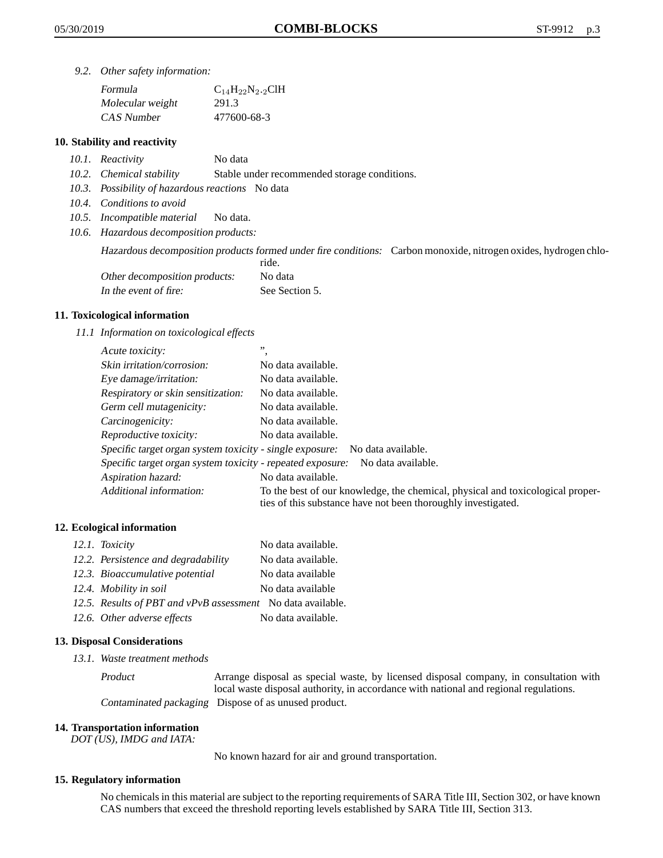*9.2. Other safety information:*

| Formula          | $C_{14}H_{22}N_{2.2}CH$ |
|------------------|-------------------------|
| Molecular weight | 291.3                   |
| CAS Number       | 477600-68-3             |

## **10. Stability and reactivity**

- *10.1. Reactivity* No data
- *10.2. Chemical stability* Stable under recommended storage conditions.
- *10.3. Possibility of hazardous reactions* No data
- *10.4. Conditions to avoid*
- *10.5. Incompatible material* No data.
- *10.6. Hazardous decomposition products:*

Hazardous decomposition products formed under fire conditions: Carbon monoxide, nitrogen oxides, hydrogen chlo-

|                               | ride.          |
|-------------------------------|----------------|
| Other decomposition products: | No data        |
| In the event of fire:         | See Section 5. |

#### **11. Toxicological information**

*11.1 Information on toxicological effects*

| Acute toxicity:                                            | ,,                                                                                                                                              |
|------------------------------------------------------------|-------------------------------------------------------------------------------------------------------------------------------------------------|
| Skin irritation/corrosion:                                 | No data available.                                                                                                                              |
| Eye damage/irritation:                                     | No data available.                                                                                                                              |
| Respiratory or skin sensitization:                         | No data available.                                                                                                                              |
| Germ cell mutagenicity:                                    | No data available.                                                                                                                              |
| Carcinogenicity:                                           | No data available.                                                                                                                              |
| Reproductive toxicity:                                     | No data available.                                                                                                                              |
| Specific target organ system toxicity - single exposure:   | No data available.                                                                                                                              |
| Specific target organ system toxicity - repeated exposure: | No data available.                                                                                                                              |
| Aspiration hazard:                                         | No data available.                                                                                                                              |
| Additional information:                                    | To the best of our knowledge, the chemical, physical and toxicological proper-<br>ties of this substance have not been thoroughly investigated. |

#### **12. Ecological information**

| 12.1. Toxicity                                              | No data available. |
|-------------------------------------------------------------|--------------------|
| 12.2. Persistence and degradability                         | No data available. |
| 12.3. Bioaccumulative potential                             | No data available  |
| 12.4. Mobility in soil                                      | No data available  |
| 12.5. Results of PBT and vPvB assessment No data available. |                    |
| 12.6. Other adverse effects                                 | No data available. |

#### **13. Disposal Considerations**

*13.1. Waste treatment methods*

Product Arrange disposal as special waste, by licensed disposal company, in consultation with local waste disposal authority, in accordance with national and regional regulations. Contaminated packaging Dispose of as unused product.

#### **14. Transportation information**

*DOT (US), IMDG and IATA:*

No known hazard for air and ground transportation.

#### **15. Regulatory information**

No chemicals in this material are subject to the reporting requirements of SARA Title III, Section 302, or have known CAS numbers that exceed the threshold reporting levels established by SARA Title III, Section 313.